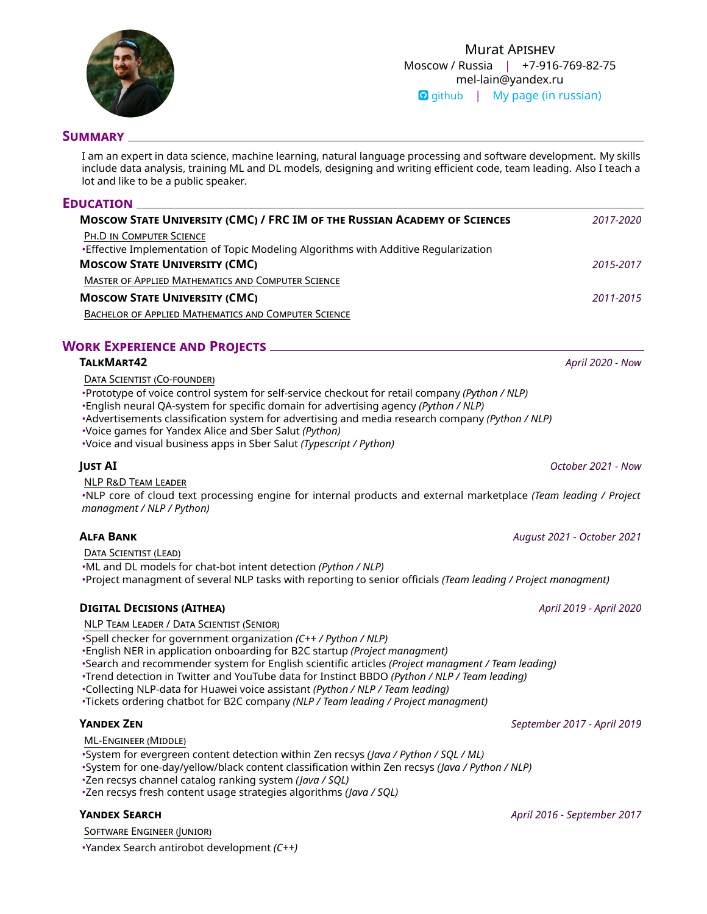

### **SUMMARY**

I am an expert in data science, machine learning, natural language processing and software development. My skills include data analysis, training ML and DL models, designing and writing efficient code, team leading. Also I teach a lot and like to be a public speaker.

# **EDUCATION MOSCOW STATE UNIVERSITY (CMC) / FRC IM OF THE RUSSIAN ACADEMY OF SCIENCES** *2017-2020* PH.D IN COMPUTER SCIENCE •Effective Implementation of Topic Modeling Algorithms with Additive Regularization **MOSCOW STATE UNIVERSITY (CMC)** *2015-2017* MASTER OF APPLIED MATHEMATICS AND COMPUTER SCIENCE **MOSCOW STATE UNIVERSITY (CMC)** *2011-2015* BACHELOR OF APPLIED MATHEMATICS AND COMPUTER SCIENCE

# **WORK EXPERIENCE AND PROJECTS**

#### **TALKMART42** *April 2020 - Now*

### DATA SCIENTIST (CO-FOUNDER)

•Prototype of voice control system for self-service checkout for retail company *(Python / NLP)*

•English neural QA-system for specific domain for advertising agency *(Python / NLP)*

•Advertisements classification system for advertising and media research company *(Python / NLP)*

•Voice games for Yandex Alice and Sber Salut *(Python)*

•Voice and visual business apps in Sber Salut *(Typescript / Python)*

#### **JUST AI** *October 2021 - Now*

NLP R&D TEAM LEADER

•NLP core of cloud text processing engine for internal products and external marketplace *(Team leading / Project managment / NLP / Python)*

#### **ALFA BANK** *August 2021 - October 2021*

DATA SCIENTIST (LEAD)

•ML and DL models for chat-bot intent detection *(Python / NLP)*

•Project managment of several NLP tasks with reporting to senior officials *(Team leading / Project managment)*

#### **DIGITAL DECISIONS (AITHEA)** *April 2019 - April 2020*

NLP TEAM LEADER / DATA SCIENTIST (SENIOR)

•Spell checker for government organization *(C++ / Python / NLP)*

•English NER in application onboarding for B2C startup *(Project managment)*

•Search and recommender system for English scientific articles *(Project managment / Team leading)*

•Trend detection in Twitter and YouTube data for Instinct BBDO *(Python / NLP / Team leading)*

•Collecting NLP-data for Huawei voice assistant *(Python / NLP / Team leading)*

•Tickets ordering chatbot for B2C company *(NLP / Team leading / Project managment)*

ML-ENGINEER (MIDDLE)

•System for evergreen content detection within Zen recsys *(Java / Python / SQL / ML)*

•System for one-day/yellow/black content classification within Zen recsys *(Java / Python / NLP)*

•Zen recsys channel catalog ranking system *(Java / SQL)*

•Zen recsys fresh content usage strategies algorithms *(Java / SQL)*

SOFTWARE ENGINEER (JUNIOR)

•Yandex Search antirobot development *(C++)*

**YANDEX ZEN** *September 2017 - April 2019*

**YANDEX SEARCH** *April 2016 - September 2017*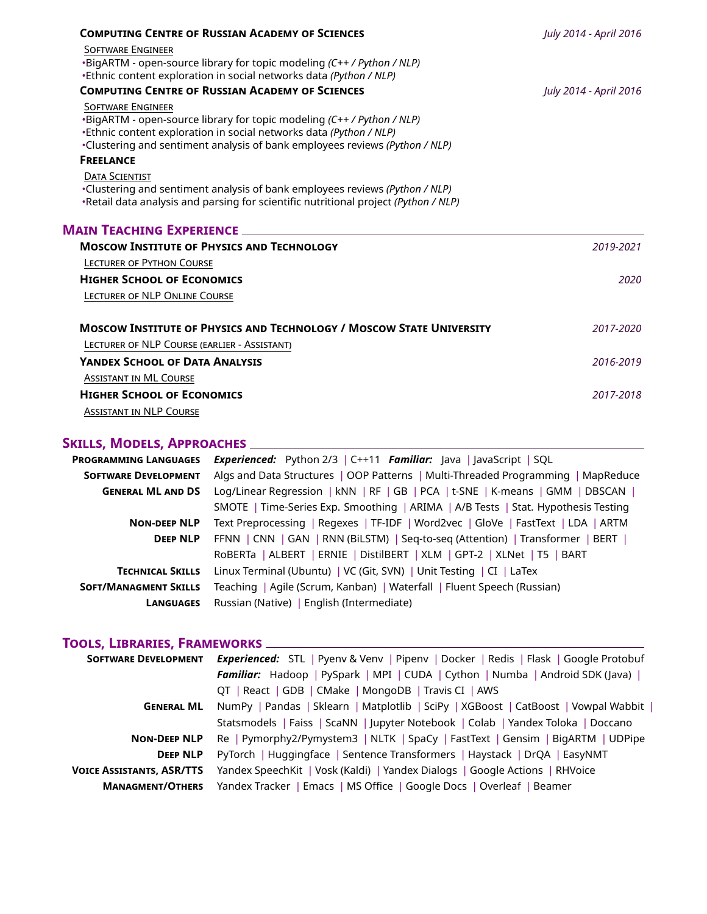| <b>COMPUTING CENTRE OF RUSSIAN ACADEMY OF SCIENCES</b>                                                                                            | July 2014 - April 2016 |  |
|---------------------------------------------------------------------------------------------------------------------------------------------------|------------------------|--|
| <b>SOFTWARE ENGINEER</b>                                                                                                                          |                        |  |
| .BigARTM - open-source library for topic modeling (C++ / Python / NLP)                                                                            |                        |  |
| •Ethnic content exploration in social networks data (Python / NLP)                                                                                |                        |  |
| <b>COMPUTING CENTRE OF RUSSIAN ACADEMY OF SCIENCES</b>                                                                                            | July 2014 - April 2016 |  |
| <b>SOFTWARE ENGINEER</b>                                                                                                                          |                        |  |
| .BigARTM - open-source library for topic modeling (C++ / Python / NLP)                                                                            |                        |  |
| •Ethnic content exploration in social networks data (Python / NLP)<br>•Clustering and sentiment analysis of bank employees reviews (Python / NLP) |                        |  |
| <b>FREELANCE</b>                                                                                                                                  |                        |  |
| <b>DATA SCIENTIST</b>                                                                                                                             |                        |  |
| •Clustering and sentiment analysis of bank employees reviews ( <i>Python / NLP</i> )                                                              |                        |  |
| •Retail data analysis and parsing for scientific nutritional project (Python / NLP)                                                               |                        |  |
| <b>MAIN TEACHING EXPERIENCE</b>                                                                                                                   |                        |  |
| <b>MOSCOW INSTITUTE OF PHYSICS AND TECHNOLOGY</b>                                                                                                 | 2019-2021              |  |
| <b>LECTURER OF PYTHON COURSE</b>                                                                                                                  |                        |  |
| <b>HIGHER SCHOOL OF ECONOMICS</b>                                                                                                                 | 2020                   |  |
| LECTURER OF NLP ONLINE COURSE                                                                                                                     |                        |  |
| <b>MOSCOW INSTITUTE OF PHYSICS AND TECHNOLOGY / MOSCOW STATE UNIVERSITY</b>                                                                       | 2017-2020              |  |
| LECTURER OF NLP COURSE (EARLIER - ASSISTANT)                                                                                                      |                        |  |
| <b>YANDEX SCHOOL OF DATA ANALYSIS</b>                                                                                                             | 2016-2019              |  |
| <b>ASSISTANT IN ML COURSE</b>                                                                                                                     |                        |  |
| <b>HIGHER SCHOOL OF ECONOMICS</b>                                                                                                                 | 2017-2018              |  |
| <b>ASSISTANT IN NLP COURSE</b>                                                                                                                    |                        |  |

#### **SKILLS, MODELS, APPROACHES**

**PROGRAMMING LANGUAGES** *Experienced:* Python 2/3 | C++11 *Familiar:* Java | JavaScript | SQL **SOFTWARE DEVELOPMENT** Algs and Data Structures | OOP Patterns | Multi-Threaded Programming | MapReduce **GENERAL ML AND DS** Log/Linear Regression | kNN | RF | GB | PCA | t-SNE | K-means | GMM | DBSCAN | SMOTE | Time-Series Exp. Smoothing | ARIMA | A/B Tests | Stat. Hypothesis Testing **NON-DEEP NLP** Text Preprocessing | Regexes | TF-IDF | Word2vec | GloVe | FastText | LDA | ARTM **DEEP NLP** FFNN | CNN | GAN | RNN (BiLSTM) | Seq-to-seq (Attention) | Transformer | BERT | RoBERTa | ALBERT | ERNIE | DistilBERT | XLM | GPT-2 | XLNet | T5 | BART **TECHNICAL SKILLS** Linux Terminal (Ubuntu) | VC (Git, SVN) | Unit Testing | CI | LaTex **SOFT/MANAGMENT SKILLS** Teaching | Agile (Scrum, Kanban) | Waterfall | Fluent Speech (Russian) **LANGUAGES** Russian (Native) | English (Intermediate)

#### **TOOLS, LIBRARIES, FRAMEWORKS**

| <b>SOFTWARE DEVELOPMENT</b> | Experienced: STL   Pyenv & Venv   Pipenv   Docker   Redis   Flask   Google Protobuf                          |
|-----------------------------|--------------------------------------------------------------------------------------------------------------|
|                             | <b>Familiar:</b> Hadoop   PySpark   MPI   CUDA   Cython   Numba   Android SDK (Java)                         |
|                             | QT   React   GDB   CMake   MongoDB   Travis CI   AWS                                                         |
| <b>GENERAL ML</b>           | NumPy   Pandas   Sklearn   Matplotlib   SciPy   XGBoost   CatBoost   Vowpal Wabbit                           |
|                             | Statsmodels   Faiss   ScaNN   Jupyter Notebook   Colab   Yandex Toloka   Doccano                             |
| <b>NON-DEEP NLP</b>         | Re   Pymorphy2/Pymystem3   NLTK   SpaCy   FastText   Gensim   BigARTM   UDPipe                               |
| <b>DEEP NLP</b>             | PyTorch   Huggingface   Sentence Transformers   Haystack   DrQA   EasyNMT                                    |
|                             | <b>VOICE ASSISTANTS, ASR/TTS</b> Yandex SpeechKit   Vosk (Kaldi)   Yandex Dialogs   Google Actions   RHVoice |
|                             | <b>MANAGMENT/OTHERS</b> Yandex Tracker   Emacs   MS Office   Google Docs   Overleaf   Beamer                 |